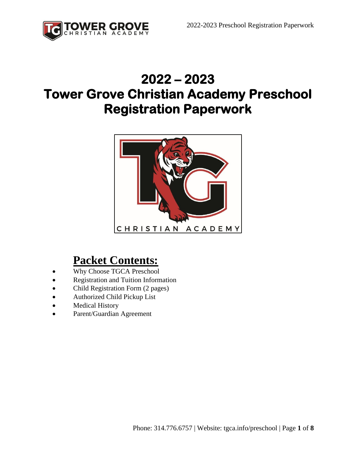

# **2022 – 2023 Tower Grove Christian Academy Preschool Registration Paperwork**



### **Packet Contents:**

- Why Choose TGCA Preschool
- Registration and Tuition Information
- Child Registration Form (2 pages)
- Authorized Child Pickup List
- Medical History
- Parent/Guardian Agreement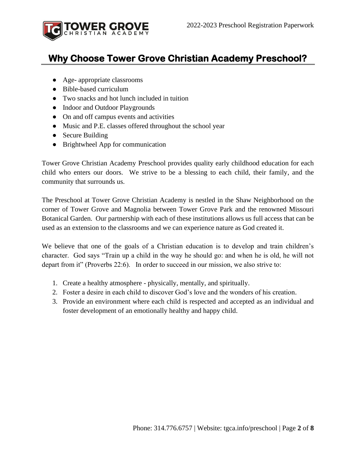

#### **Why Choose Tower Grove Christian Academy Preschool?**

- Age- appropriate classrooms
- Bible-based curriculum
- Two snacks and hot lunch included in tuition
- Indoor and Outdoor Playgrounds
- On and off campus events and activities
- Music and P.E. classes offered throughout the school year
- Secure Building
- Brightwheel App for communication

Tower Grove Christian Academy Preschool provides quality early childhood education for each child who enters our doors. We strive to be a blessing to each child, their family, and the community that surrounds us.

The Preschool at Tower Grove Christian Academy is nestled in the Shaw Neighborhood on the corner of Tower Grove and Magnolia between Tower Grove Park and the renowned Missouri Botanical Garden. Our partnership with each of these institutions allows us full access that can be used as an extension to the classrooms and we can experience nature as God created it.

We believe that one of the goals of a Christian education is to develop and train children's character. God says "Train up a child in the way he should go: and when he is old, he will not depart from it" (Proverbs 22:6). In order to succeed in our mission, we also strive to:

- 1. Create a healthy atmosphere physically, mentally, and spiritually.
- 2. Foster a desire in each child to discover God's love and the wonders of his creation.
- 3. Provide an environment where each child is respected and accepted as an individual and foster development of an emotionally healthy and happy child.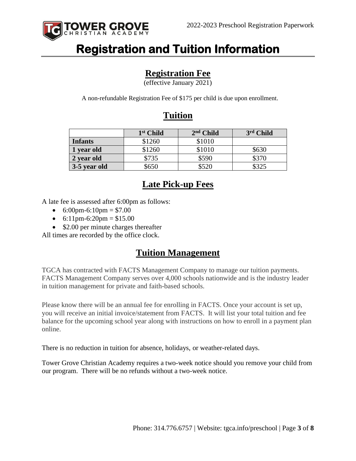

## **Registration and Tuition Information**

#### **Registration Fee**

(effective January 2021)

A non-refundable Registration Fee of \$175 per child is due upon enrollment.

#### **Tuition**

|                | 1 <sup>st</sup> Child | $2nd$ Child | 3rd Child |
|----------------|-----------------------|-------------|-----------|
| <b>Infants</b> | \$1260                | \$1010      |           |
| 1 year old     | \$1260                | \$1010      | \$630     |
| 2 year old     | \$735                 | \$590       | \$370     |
| 3-5 year old   | \$650                 | \$520       | \$325     |

#### **Late Pick-up Fees**

A late fee is assessed after 6:00pm as follows:

- 6:00pm-6:10pm =  $$7.00$
- 6:11pm-6:20pm =  $$15.00$
- \$2.00 per minute charges thereafter

All times are recorded by the office clock.

#### **Tuition Management**

TGCA has contracted with FACTS Management Company to manage our tuition payments. FACTS Management Company serves over 4,000 schools nationwide and is the industry leader in tuition management for private and faith-based schools.

Please know there will be an annual fee for enrolling in FACTS. Once your account is set up, you will receive an initial invoice/statement from FACTS. It will list your total tuition and fee balance for the upcoming school year along with instructions on how to enroll in a payment plan online.

There is no reduction in tuition for absence, holidays, or weather-related days.

Tower Grove Christian Academy requires a two-week notice should you remove your child from our program. There will be no refunds without a two-week notice.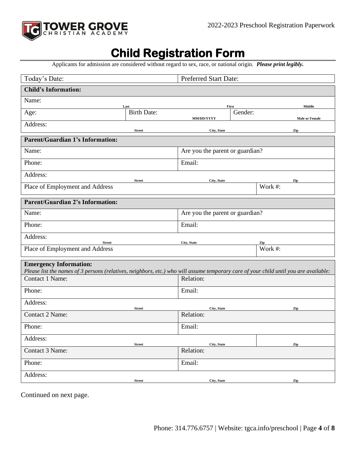

### **Child Registration Form**

Applicants for admission are considered without regard to sex, race, or national origin. *Please print legibly.*

| Today's Date:<br><b>Preferred Start Date:</b>                                                                                                            |                    |                                 |         |                       |
|----------------------------------------------------------------------------------------------------------------------------------------------------------|--------------------|---------------------------------|---------|-----------------------|
| <b>Child's Information:</b>                                                                                                                              |                    |                                 |         |                       |
| Name:                                                                                                                                                    | Last               |                                 | First   | Middle                |
| Age:                                                                                                                                                     | <b>Birth Date:</b> | MM/DD/YYYY                      | Gender: | <b>Male or Female</b> |
| Address:                                                                                                                                                 |                    |                                 |         |                       |
| <b>Parent/Guardian 1's Information:</b>                                                                                                                  | <b>Street</b>      | City, State                     |         | Zip                   |
| Name:                                                                                                                                                    |                    | Are you the parent or guardian? |         |                       |
|                                                                                                                                                          |                    |                                 |         |                       |
| Phone:                                                                                                                                                   |                    | Email:                          |         |                       |
| Address:                                                                                                                                                 | <b>Street</b>      | City, State                     |         | Zip                   |
| Place of Employment and Address                                                                                                                          |                    |                                 |         | Work #:               |
| <b>Parent/Guardian 2's Information:</b>                                                                                                                  |                    |                                 |         |                       |
| Name:                                                                                                                                                    |                    | Are you the parent or guardian? |         |                       |
| Phone:                                                                                                                                                   |                    | Email:                          |         |                       |
| Address:<br><b>Street</b>                                                                                                                                |                    | City, State                     |         | Zip                   |
| Place of Employment and Address                                                                                                                          |                    |                                 |         | Work #:               |
| <b>Emergency Information:</b>                                                                                                                            |                    |                                 |         |                       |
| Please list the names of 3 persons (relatives, neighbors, etc.) who will assume temporary care of your child until you are available:<br>Contact 1 Name: |                    | Relation:                       |         |                       |
|                                                                                                                                                          |                    |                                 |         |                       |
| Phone:                                                                                                                                                   |                    | Email:                          |         |                       |
| Address:                                                                                                                                                 | <b>Street</b>      | City, State                     |         | Zip                   |
| Contact 2 Name:                                                                                                                                          |                    | Relation:                       |         |                       |
| Phone:                                                                                                                                                   |                    | Email:                          |         |                       |
| Address:                                                                                                                                                 | <b>Street</b>      | City, State                     |         | Zip                   |
| Contact 3 Name:                                                                                                                                          |                    | Relation:                       |         |                       |
| Phone:                                                                                                                                                   |                    | Email:                          |         |                       |
| Address:                                                                                                                                                 | <b>Street</b>      | City, State                     |         | Zip                   |

Continued on next page.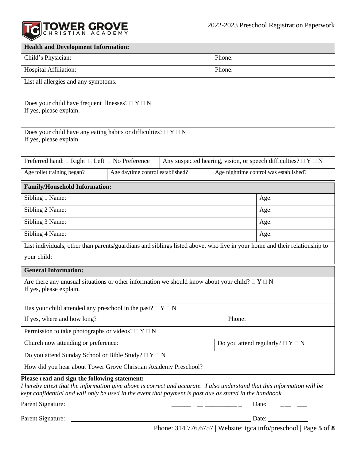

| <b>Health and Development Information:</b>                                                                                                                                                                                                                                            |                                  |  |                                          |                                                                        |
|---------------------------------------------------------------------------------------------------------------------------------------------------------------------------------------------------------------------------------------------------------------------------------------|----------------------------------|--|------------------------------------------|------------------------------------------------------------------------|
| Child's Physician:                                                                                                                                                                                                                                                                    |                                  |  | Phone:                                   |                                                                        |
| Hospital Affiliation:                                                                                                                                                                                                                                                                 |                                  |  | Phone:                                   |                                                                        |
| List all allergies and any symptoms.                                                                                                                                                                                                                                                  |                                  |  |                                          |                                                                        |
|                                                                                                                                                                                                                                                                                       |                                  |  |                                          |                                                                        |
| Does your child have frequent illnesses? $\Box Y \Box N$<br>If yes, please explain.                                                                                                                                                                                                   |                                  |  |                                          |                                                                        |
|                                                                                                                                                                                                                                                                                       |                                  |  |                                          |                                                                        |
| Does your child have any eating habits or difficulties? $\Box Y \Box N$<br>If yes, please explain.                                                                                                                                                                                    |                                  |  |                                          |                                                                        |
|                                                                                                                                                                                                                                                                                       |                                  |  |                                          |                                                                        |
| Preferred hand: $\Box$ Right $\Box$ Left $\Box$ No Preference                                                                                                                                                                                                                         |                                  |  |                                          | Any suspected hearing, vision, or speech difficulties? $\Box Y \Box N$ |
| Age toilet training began?                                                                                                                                                                                                                                                            | Age daytime control established? |  |                                          | Age nighttime control was established?                                 |
| <b>Family/Household Information:</b>                                                                                                                                                                                                                                                  |                                  |  |                                          |                                                                        |
| Sibling 1 Name:                                                                                                                                                                                                                                                                       |                                  |  |                                          | Age:                                                                   |
| Sibling 2 Name:                                                                                                                                                                                                                                                                       |                                  |  |                                          | Age:                                                                   |
| Sibling 3 Name:                                                                                                                                                                                                                                                                       |                                  |  |                                          | Age:                                                                   |
| Sibling 4 Name:                                                                                                                                                                                                                                                                       |                                  |  |                                          | Age:                                                                   |
| List individuals, other than parents/guardians and siblings listed above, who live in your home and their relationship to                                                                                                                                                             |                                  |  |                                          |                                                                        |
| your child:                                                                                                                                                                                                                                                                           |                                  |  |                                          |                                                                        |
| <b>General Information:</b>                                                                                                                                                                                                                                                           |                                  |  |                                          |                                                                        |
| Are there any unusual situations or other information we should know about your child? $\Box Y \Box N$<br>If yes, please explain.                                                                                                                                                     |                                  |  |                                          |                                                                        |
|                                                                                                                                                                                                                                                                                       |                                  |  |                                          |                                                                        |
| Has your child attended any preschool in the past? $\Box Y \Box N$                                                                                                                                                                                                                    |                                  |  |                                          |                                                                        |
| If yes, where and how long?<br>Phone:                                                                                                                                                                                                                                                 |                                  |  |                                          |                                                                        |
| Permission to take photographs or videos? $\Box Y \Box N$                                                                                                                                                                                                                             |                                  |  |                                          |                                                                        |
| Church now attending or preference:                                                                                                                                                                                                                                                   |                                  |  | Do you attend regularly? $\Box Y \Box N$ |                                                                        |
| Do you attend Sunday School or Bible Study? $\Box$ Y $\Box$ N                                                                                                                                                                                                                         |                                  |  |                                          |                                                                        |
| How did you hear about Tower Grove Christian Academy Preschool?                                                                                                                                                                                                                       |                                  |  |                                          |                                                                        |
| Please read and sign the following statement:<br>I hereby attest that the information give above is correct and accurate. I also understand that this information will be<br>kept confidential and will only be used in the event that payment is past due as stated in the handbook. |                                  |  |                                          |                                                                        |
| Parent Signature:<br><u> 1980 - Jan Barbara (j. 1980)</u>                                                                                                                                                                                                                             |                                  |  |                                          |                                                                        |
| Parent Signature:<br>Date: $\overline{\phantom{a}}$<br><u> 1989 - Johann Barbara, martxa alemaniar amerikan a</u>                                                                                                                                                                     |                                  |  |                                          |                                                                        |

Phone: 314.776.6757 | Website: tgca.info/preschool | Page **5** of **8**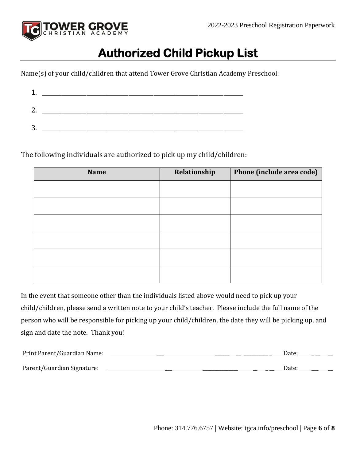

## **Authorized Child Pickup List**

Name(s) of your child/children that attend Tower Grove Christian Academy Preschool:

| c       |  |
|---------|--|
|         |  |
| ⌒<br>м. |  |

The following individuals are authorized to pick up my child/children:

| <b>Name</b> | Relationship | Phone (include area code) |
|-------------|--------------|---------------------------|
|             |              |                           |
|             |              |                           |
|             |              |                           |
|             |              |                           |
|             |              |                           |
|             |              |                           |

In the event that someone other than the individuals listed above would need to pick up your child/children, please send a written note to your child's teacher. Please include the full name of the person who will be responsible for picking up your child/children, the date they will be picking up, and sign and date the note. Thank you!

| Print Parent/Guardian Name: | Date: |
|-----------------------------|-------|
| Parent/Guardian Signature:  | Date: |
|                             |       |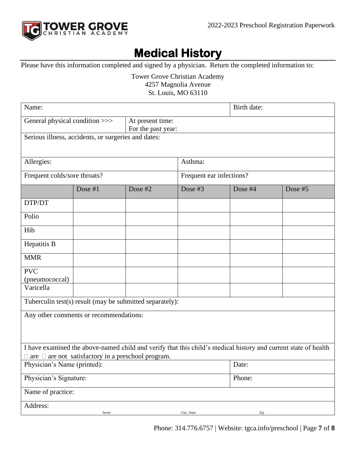

# **Medical History**

Please have this information completed and signed by a physician. Return the completed information to:

Tower Grove Christian Academy 4257 Magnolia Avenue

St. Louis, MO 63110

| Name:                                                                                                          |         |                          |             | Birth date: |         |  |
|----------------------------------------------------------------------------------------------------------------|---------|--------------------------|-------------|-------------|---------|--|
| General physical condition >>><br>At present time:                                                             |         |                          |             |             |         |  |
| For the past year:<br>Serious illness, accidents, or surgeries and dates:                                      |         |                          |             |             |         |  |
|                                                                                                                |         |                          |             |             |         |  |
|                                                                                                                |         |                          |             |             |         |  |
| Allergies:                                                                                                     |         |                          | Asthma:     |             |         |  |
| Frequent colds/sore throats?                                                                                   |         | Frequent ear infections? |             |             |         |  |
|                                                                                                                | Dose #1 | Dose #2                  | Dose #3     | Dose #4     | Dose #5 |  |
| DTP/DT                                                                                                         |         |                          |             |             |         |  |
| Polio                                                                                                          |         |                          |             |             |         |  |
| Hib                                                                                                            |         |                          |             |             |         |  |
| Hepatitis B                                                                                                    |         |                          |             |             |         |  |
| <b>MMR</b>                                                                                                     |         |                          |             |             |         |  |
| <b>PVC</b>                                                                                                     |         |                          |             |             |         |  |
| (pneumococcal)<br>Varicella                                                                                    |         |                          |             |             |         |  |
|                                                                                                                |         |                          |             |             |         |  |
| Tuberculin test(s) result (may be submitted separately):                                                       |         |                          |             |             |         |  |
| Any other comments or recommendations:                                                                         |         |                          |             |             |         |  |
|                                                                                                                |         |                          |             |             |         |  |
|                                                                                                                |         |                          |             |             |         |  |
| I have examined the above-named child and verify that this child's medical history and current state of health |         |                          |             |             |         |  |
| $\Box$ are $\Box$ are not satisfactory in a preschool program.<br>Physician's Name (printed):                  |         |                          |             | Date:       |         |  |
|                                                                                                                |         |                          |             |             |         |  |
| Physician's Signature:                                                                                         |         |                          |             | Phone:      |         |  |
| Name of practice:                                                                                              |         |                          |             |             |         |  |
| Address:                                                                                                       |         |                          |             |             |         |  |
|                                                                                                                | Street  |                          | City, State | Zip         |         |  |

Phone: 314.776.6757 | Website: tgca.info/preschool | Page **7** of **8**